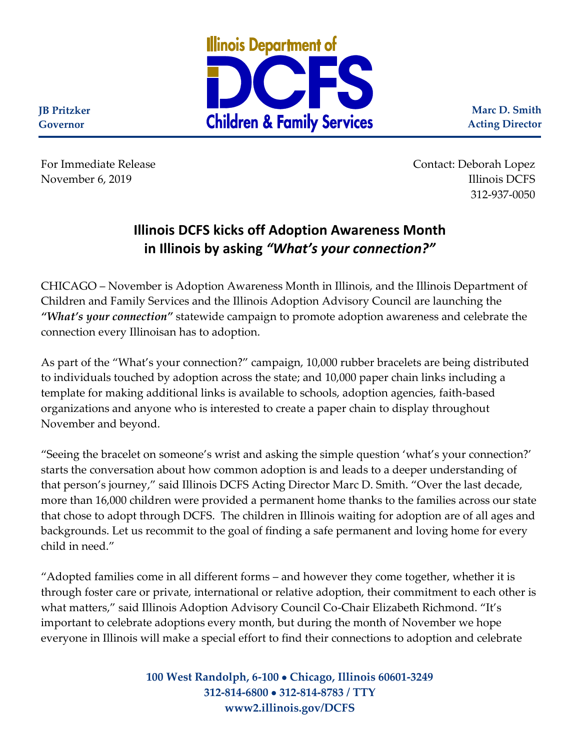

**Marc D. Smith Acting Director**

For Immediate Release **Contact: Deborah Lopez** November 6, 2019 Illinois DCFS 312-937-0050

## **Illinois DCFS kicks off Adoption Awareness Month in Illinois by asking** *"What's your connection?"*

CHICAGO – November is Adoption Awareness Month in Illinois, and the Illinois Department of Children and Family Services and the Illinois Adoption Advisory Council are launching the *"What's your connection"* statewide campaign to promote adoption awareness and celebrate the connection every Illinoisan has to adoption.

As part of the "What's your connection?" campaign, 10,000 rubber bracelets are being distributed to individuals touched by adoption across the state; and 10,000 paper chain links including a template for making additional links is available to schools, adoption agencies, faith-based organizations and anyone who is interested to create a paper chain to display throughout November and beyond.

"Seeing the bracelet on someone's wrist and asking the simple question 'what's your connection?' starts the conversation about how common adoption is and leads to a deeper understanding of that person's journey," said Illinois DCFS Acting Director Marc D. Smith. "Over the last decade, more than 16,000 children were provided a permanent home thanks to the families across our state that chose to adopt through DCFS. The children in Illinois waiting for adoption are of all ages and backgrounds. Let us recommit to the goal of finding a safe permanent and loving home for every child in need."

"Adopted families come in all different forms – and however they come together, whether it is through foster care or private, international or relative adoption, their commitment to each other is what matters," said Illinois Adoption Advisory Council Co-Chair Elizabeth Richmond. "It's important to celebrate adoptions every month, but during the month of November we hope everyone in Illinois will make a special effort to find their connections to adoption and celebrate

> **100 West Randolph, 6-100** • **Chicago, Illinois 60601-3249 312-814-6800** • **312-814-8783 / TTY www2.illinois.gov/DCFS**

**JB Pritzker Governor**